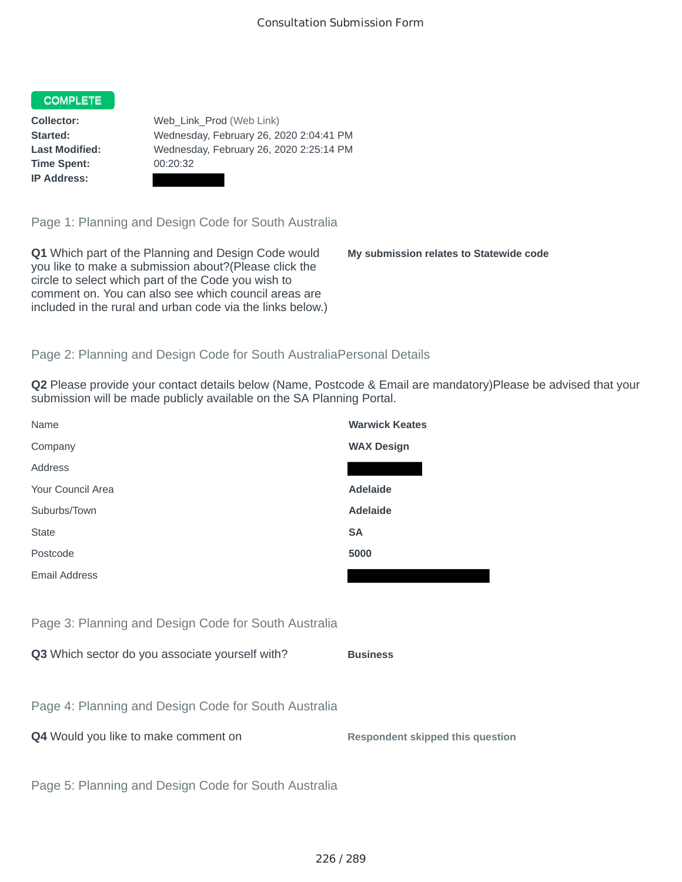#### COMPLETE

**Time Spent:** 00:20:32 **IP Address:**

**Collector:** Web\_Link\_Prod (Web Link) **Started:** Wednesday, February 26, 2020 2:04:41 PM **Last Modified:** Wednesday, February 26, 2020 2:25:14 PM

Page 1: Planning and Design Code for South Australia

**Q1** Which part of the Planning and Design Code would you like to make a submission about?(Please click the circle to select which part of the Code you wish to comment on. You can also see which council areas are included in the rural and urban code via the links below.)

**My submission relates to Statewide code**

## Page 2: Planning and Design Code for South AustraliaPersonal Details

**Q2** Please provide your contact details below (Name, Postcode & Email are mandatory)Please be advised that your submission will be made publicly available on the SA Planning Portal.

| Name                                                 | <b>Warwick Keates</b>                   |
|------------------------------------------------------|-----------------------------------------|
| Company                                              | <b>WAX Design</b>                       |
| Address                                              |                                         |
| Your Council Area                                    | <b>Adelaide</b>                         |
| Suburbs/Town                                         | <b>Adelaide</b>                         |
| <b>State</b>                                         | <b>SA</b>                               |
| Postcode                                             | 5000                                    |
| <b>Email Address</b>                                 |                                         |
|                                                      |                                         |
| Page 3: Planning and Design Code for South Australia |                                         |
| Q3 Which sector do you associate yourself with?      | <b>Business</b>                         |
|                                                      |                                         |
| Page 4: Planning and Design Code for South Australia |                                         |
| Q4 Would you like to make comment on                 | <b>Respondent skipped this question</b> |
|                                                      |                                         |
| Page 5: Planning and Design Code for South Australia |                                         |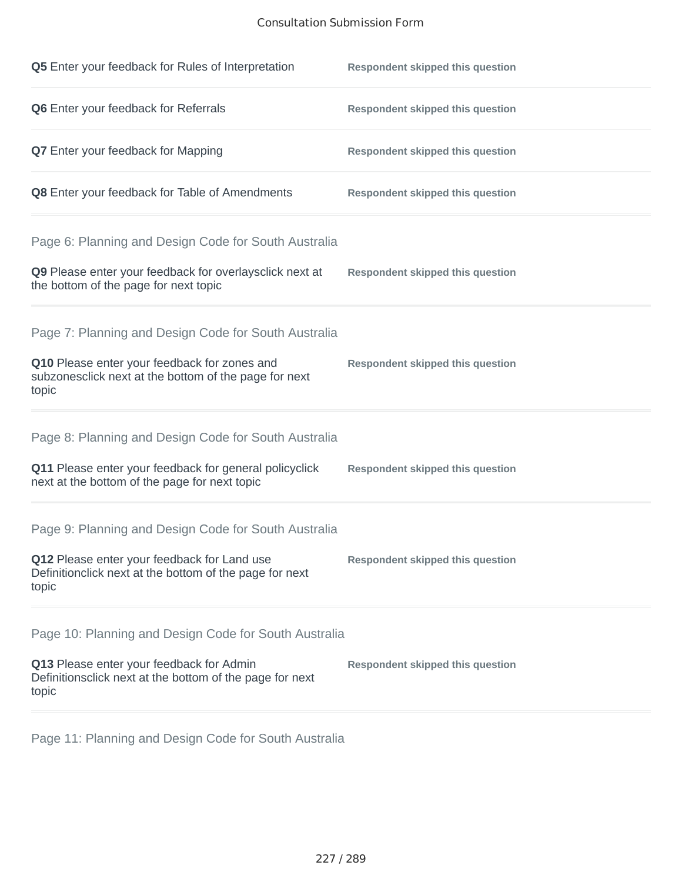### Consultation Submission Form

| Q5 Enter your feedback for Rules of Interpretation                                                              | <b>Respondent skipped this question</b> |
|-----------------------------------------------------------------------------------------------------------------|-----------------------------------------|
| Q6 Enter your feedback for Referrals                                                                            | <b>Respondent skipped this question</b> |
| <b>Q7</b> Enter your feedback for Mapping                                                                       | <b>Respondent skipped this question</b> |
| Q8 Enter your feedback for Table of Amendments                                                                  | <b>Respondent skipped this question</b> |
| Page 6: Planning and Design Code for South Australia                                                            |                                         |
| Q9 Please enter your feedback for overlaysclick next at<br>the bottom of the page for next topic                | <b>Respondent skipped this question</b> |
| Page 7: Planning and Design Code for South Australia                                                            |                                         |
| Q10 Please enter your feedback for zones and<br>subzonesclick next at the bottom of the page for next<br>topic  | <b>Respondent skipped this question</b> |
| Page 8: Planning and Design Code for South Australia                                                            |                                         |
| Q11 Please enter your feedback for general policyclick<br>next at the bottom of the page for next topic         | <b>Respondent skipped this question</b> |
| Page 9: Planning and Design Code for South Australia                                                            |                                         |
| Q12 Please enter your feedback for Land use<br>Definitionclick next at the bottom of the page for next<br>topic | <b>Respondent skipped this question</b> |
| Page 10: Planning and Design Code for South Australia                                                           |                                         |
| Q13 Please enter your feedback for Admin<br>Definitionsclick next at the bottom of the page for next<br>topic   | <b>Respondent skipped this question</b> |

Page 11: Planning and Design Code for South Australia